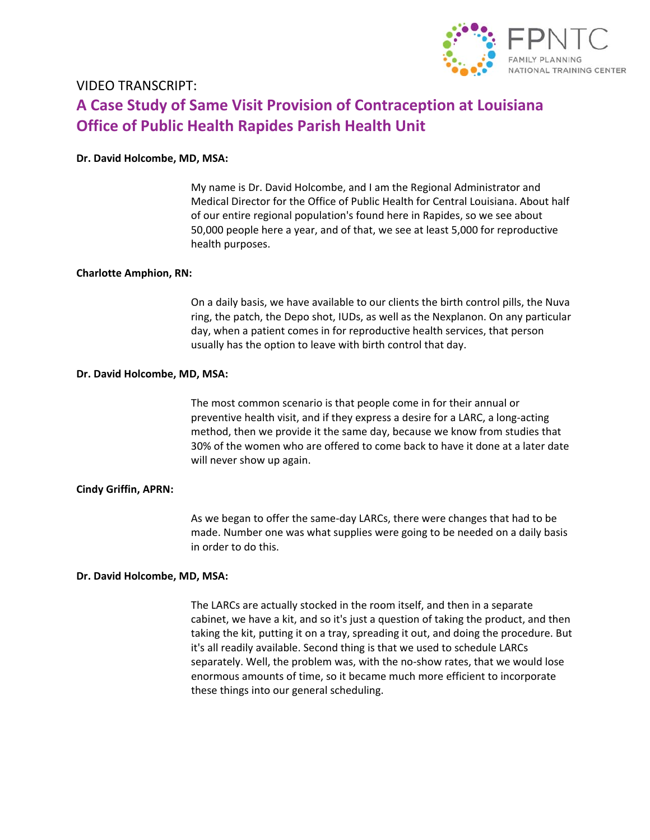

# **A Case Study of Same Visit Provision of Contraception at Louisiana Office of Public Health Rapides Parish Health Unit** VIDEO TRANSCRIPT:

# **Dr. David Holcombe, MD, MSA:**

 My name is Dr. David Holcombe, and I am the Regional Administrator and Medical Director for the Office of Public Health for Central Louisiana. About half of our entire regional population's found here in Rapides, so we see about 50,000 people here a year, and of that, we see at least 5,000 for reproductive health purposes.

# **Charlotte Amphion, RN:**

 On a daily basis, we have available to our clients the birth control pills, the Nuva ring, the patch, the Depo shot, IUDs, as well as the Nexplanon. On any particular day, when a patient comes in for reproductive health services, that person usually has the option to leave with birth control that day.

# **Dr. David Holcombe, MD, MSA:**

 The most common scenario is that people come in for their annual or preventive health visit, and if they express a desire for a LARC, a long‐acting method, then we provide it the same day, because we know from studies that 30% of the women who are offered to come back to have it done at a later date will never show up again.

## **Cindy Griffin, APRN:**

 As we began to offer the same‐day LARCs, there were changes that had to be made. Number one was what supplies were going to be needed on a daily basis in order to do this.

## **Dr. David Holcombe, MD, MSA:**

 The LARCs are actually stocked in the room itself, and then in a separate cabinet, we have a kit, and so it's just a question of taking the product, and then taking the kit, putting it on a tray, spreading it out, and doing the procedure. But it's all readily available. Second thing is that we used to schedule LARCs separately. Well, the problem was, with the no‐show rates, that we would lose enormous amounts of time, so it became much more efficient to incorporate these things into our general scheduling.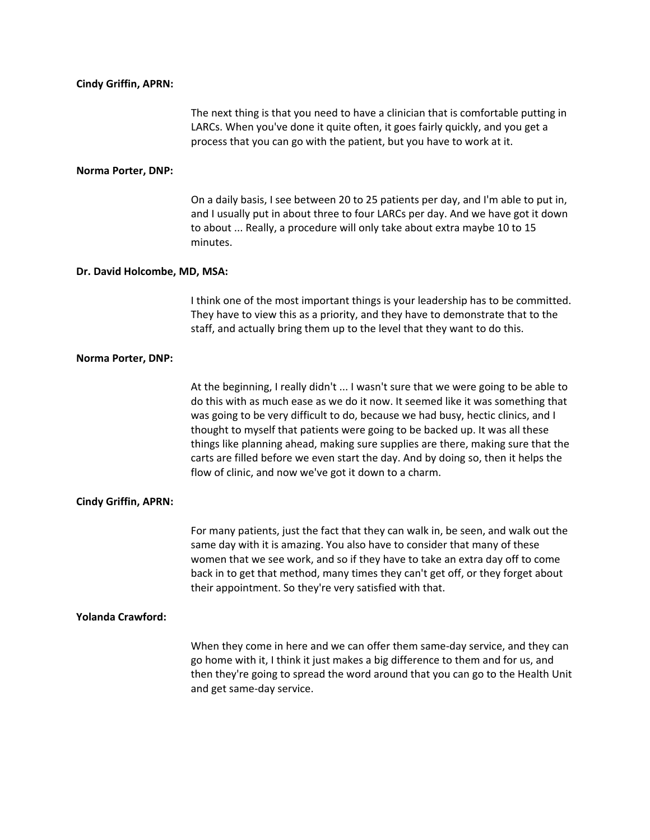### **Cindy Griffin, APRN:**

 The next thing is that you need to have a clinician that is comfortable putting in LARCs. When you've done it quite often, it goes fairly quickly, and you get a process that you can go with the patient, but you have to work at it.

#### **Norma Porter, DNP:**

 On a daily basis, I see between 20 to 25 patients per day, and I'm able to put in, and I usually put in about three to four LARCs per day. And we have got it down to about ... Really, a procedure will only take about extra maybe 10 to 15 minutes.

#### **Dr. David Holcombe, MD, MSA:**

 I think one of the most important things is your leadership has to be committed. They have to view this as a priority, and they have to demonstrate that to the staff, and actually bring them up to the level that they want to do this.

#### **Norma Porter, DNP:**

 At the beginning, I really didn't ... I wasn't sure that we were going to be able to do this with as much ease as we do it now. It seemed like it was something that was going to be very difficult to do, because we had busy, hectic clinics, and I thought to myself that patients were going to be backed up. It was all these things like planning ahead, making sure supplies are there, making sure that the carts are filled before we even start the day. And by doing so, then it helps the flow of clinic, and now we've got it down to a charm.

#### **Cindy Griffin, APRN:**

 For many patients, just the fact that they can walk in, be seen, and walk out the same day with it is amazing. You also have to consider that many of these women that we see work, and so if they have to take an extra day off to come back in to get that method, many times they can't get off, or they forget about their appointment. So they're very satisfied with that.

#### **Yolanda Crawford:**

 When they come in here and we can offer them same‐day service, and they can go home with it, I think it just makes a big difference to them and for us, and then they're going to spread the word around that you can go to the Health Unit and get same‐day service.